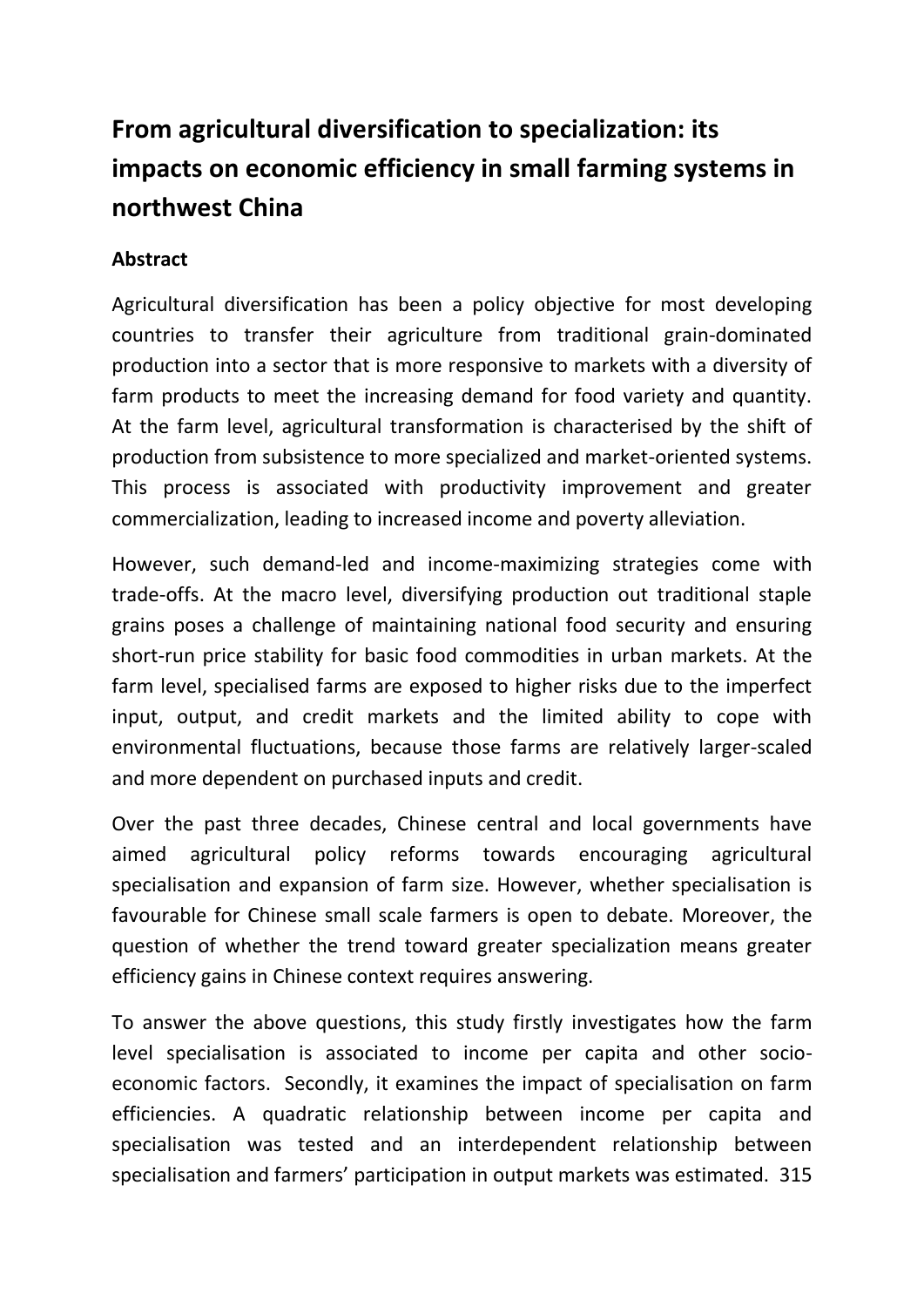## **From agricultural diversification to specialization: its impacts on economic efficiency in small farming systems in northwest China**

## **Abstract**

Agricultural diversification has been a policy objective for most developing countries to transfer their agriculture from traditional grain-dominated production into a sector that is more responsive to markets with a diversity of farm products to meet the increasing demand for food variety and quantity. At the farm level, agricultural transformation is characterised by the shift of production from subsistence to more specialized and market-oriented systems. This process is associated with productivity improvement and greater commercialization, leading to increased income and poverty alleviation.

However, such demand-led and income-maximizing strategies come with trade-offs. At the macro level, diversifying production out traditional staple grains poses a challenge of maintaining national food security and ensuring short-run price stability for basic food commodities in urban markets. At the farm level, specialised farms are exposed to higher risks due to the imperfect input, output, and credit markets and the limited ability to cope with environmental fluctuations, because those farms are relatively larger-scaled and more dependent on purchased inputs and credit.

Over the past three decades, Chinese central and local governments have aimed agricultural policy reforms towards encouraging agricultural specialisation and expansion of farm size. However, whether specialisation is favourable for Chinese small scale farmers is open to debate. Moreover, the question of whether the trend toward greater specialization means greater efficiency gains in Chinese context requires answering.

To answer the above questions, this study firstly investigates how the farm level specialisation is associated to income per capita and other socioeconomic factors. Secondly, it examines the impact of specialisation on farm efficiencies. A quadratic relationship between income per capita and specialisation was tested and an interdependent relationship between specialisation and farmers' participation in output markets was estimated. 315